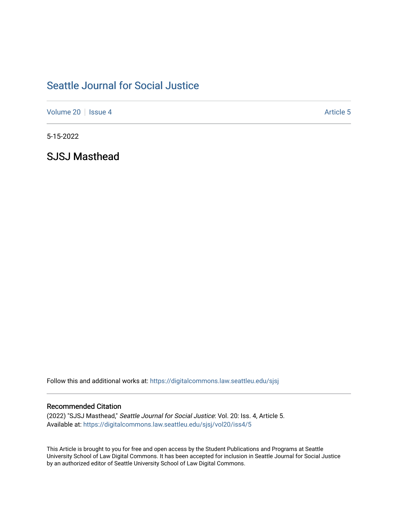# [Seattle Journal for Social Justice](https://digitalcommons.law.seattleu.edu/sjsj)

[Volume 20](https://digitalcommons.law.seattleu.edu/sjsj/vol20) | [Issue 4](https://digitalcommons.law.seattleu.edu/sjsj/vol20/iss4) Article 5

5-15-2022

SJSJ Masthead

Follow this and additional works at: [https://digitalcommons.law.seattleu.edu/sjsj](https://digitalcommons.law.seattleu.edu/sjsj?utm_source=digitalcommons.law.seattleu.edu%2Fsjsj%2Fvol20%2Fiss4%2F5&utm_medium=PDF&utm_campaign=PDFCoverPages)

### Recommended Citation

(2022) "SJSJ Masthead," Seattle Journal for Social Justice: Vol. 20: Iss. 4, Article 5. Available at: [https://digitalcommons.law.seattleu.edu/sjsj/vol20/iss4/5](https://digitalcommons.law.seattleu.edu/sjsj/vol20/iss4/5?utm_source=digitalcommons.law.seattleu.edu%2Fsjsj%2Fvol20%2Fiss4%2F5&utm_medium=PDF&utm_campaign=PDFCoverPages)

This Article is brought to you for free and open access by the Student Publications and Programs at Seattle University School of Law Digital Commons. It has been accepted for inclusion in Seattle Journal for Social Justice by an authorized editor of Seattle University School of Law Digital Commons.